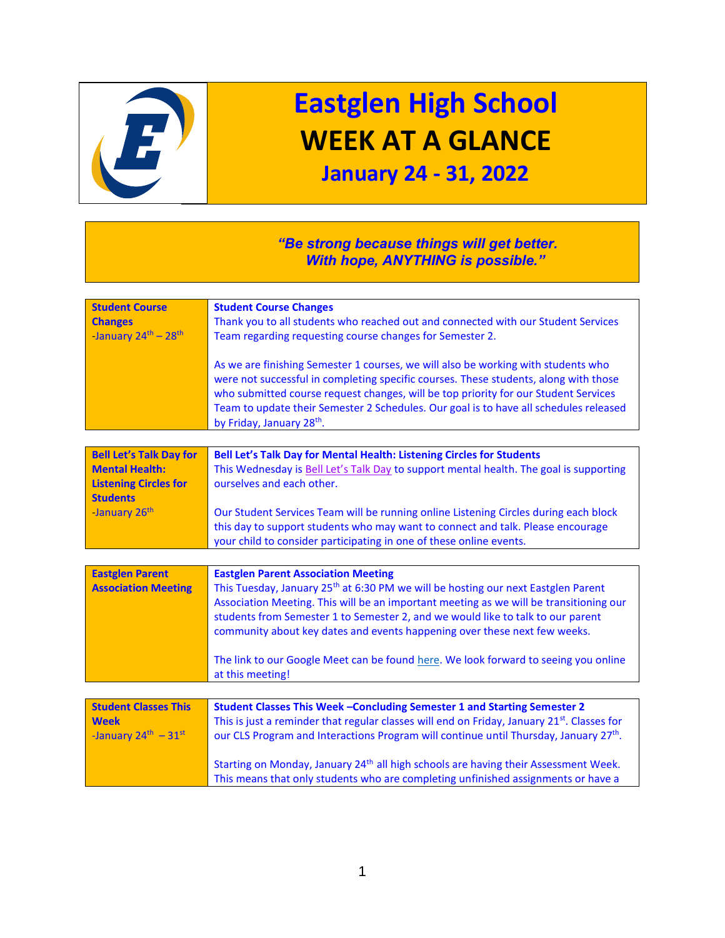

## **Eastglen High School WEEK AT A GLANCE**

## **January 24 - 31, 2022**

## *"Be strong because things will get better. With hope, ANYTHING is possible."*

| <b>Student Course</b>                      | <b>Student Course Changes</b>                                                                           |
|--------------------------------------------|---------------------------------------------------------------------------------------------------------|
| <b>Changes</b>                             | Thank you to all students who reached out and connected with our Student Services                       |
| January 24th - 28th                        | Team regarding requesting course changes for Semester 2.                                                |
|                                            |                                                                                                         |
|                                            | As we are finishing Semester 1 courses, we will also be working with students who                       |
|                                            | were not successful in completing specific courses. These students, along with those                    |
|                                            | who submitted course request changes, will be top priority for our Student Services                     |
|                                            | Team to update their Semester 2 Schedules. Our goal is to have all schedules released                   |
|                                            | by Friday, January 28 <sup>th</sup> .                                                                   |
|                                            |                                                                                                         |
| <b>Bell Let's Talk Day for</b>             | Bell Let's Talk Day for Mental Health: Listening Circles for Students                                   |
| <b>Mental Health:</b>                      | This Wednesday is Bell Let's Talk Day to support mental health. The goal is supporting                  |
| <b>Listening Circles for</b>               | ourselves and each other.                                                                               |
| <b>Students</b>                            |                                                                                                         |
| -January 26 <sup>th</sup>                  | Our Student Services Team will be running online Listening Circles during each block                    |
|                                            | this day to support students who may want to connect and talk. Please encourage                         |
|                                            | your child to consider participating in one of these online events.                                     |
|                                            |                                                                                                         |
| <b>Eastglen Parent</b>                     | <b>Eastglen Parent Association Meeting</b>                                                              |
| <b>Association Meeting</b>                 | This Tuesday, January 25 <sup>th</sup> at 6:30 PM we will be hosting our next Eastglen Parent           |
|                                            | Association Meeting. This will be an important meeting as we will be transitioning our                  |
|                                            | students from Semester 1 to Semester 2, and we would like to talk to our parent                         |
|                                            | community about key dates and events happening over these next few weeks.                               |
|                                            |                                                                                                         |
|                                            | The link to our Google Meet can be found here. We look forward to seeing you online                     |
|                                            | at this meeting!                                                                                        |
|                                            |                                                                                                         |
| <b>Student Classes This</b><br><b>Week</b> | Student Classes This Week - Concluding Semester 1 and Starting Semester 2                               |
| -January $24^{th} - 31^{st}$               | This is just a reminder that regular classes will end on Friday, January 21 <sup>st</sup> . Classes for |
|                                            | our CLS Program and Interactions Program will continue until Thursday, January 27th.                    |
|                                            | Starting on Monday, January 24 <sup>th</sup> all high schools are having their Assessment Week.         |
|                                            | This means that only students who are completing unfinished assignments or have a                       |
|                                            |                                                                                                         |